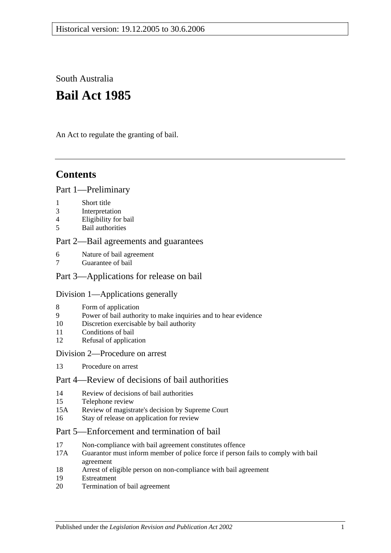South Australia

# **Bail Act 1985**

An Act to regulate the granting of bail.

# **Contents**

# [Part 1—Preliminary](#page-1-0)

- 1 [Short title](#page-1-1)
- 3 [Interpretation](#page-1-2)
- 4 [Eligibility for bail](#page-2-0)
- 5 [Bail authorities](#page-3-0)

# [Part 2—Bail agreements and guarantees](#page-3-1)

- 6 [Nature of bail agreement](#page-3-2)
- [Guarantee of bail](#page-5-0)

# [Part 3—Applications for release on bail](#page-5-1)

# [Division 1—Applications generally](#page-5-2)

- 8 [Form of application](#page-5-3)
- 9 [Power of bail authority to make inquiries and to hear evidence](#page-6-0)
- 10 [Discretion exercisable by bail authority](#page-6-1)
- 11 [Conditions of bail](#page-7-0)
- 12 [Refusal of application](#page-9-0)

# [Division 2—Procedure on arrest](#page-10-0)

13 [Procedure on arrest](#page-10-1)

# [Part 4—Review of decisions of bail authorities](#page-10-2)

- 14 [Review of decisions of bail authorities](#page-10-3)
- 15 [Telephone review](#page-11-0)
- 15A Review [of magistrate's decision by Supreme Court](#page-12-0)
- 16 [Stay of release on application for review](#page-12-1)

# [Part 5—Enforcement and](#page-13-0) termination of bail

- 17 [Non-compliance with bail agreement constitutes offence](#page-13-1)
- 17A [Guarantor must inform member of police force if person fails to comply with bail](#page-13-2)  [agreement](#page-13-2)
- 18 [Arrest of eligible person on non-compliance with bail agreement](#page-13-3)
- 19 [Estreatment](#page-14-0)
- 20 [Termination of bail agreement](#page-14-1)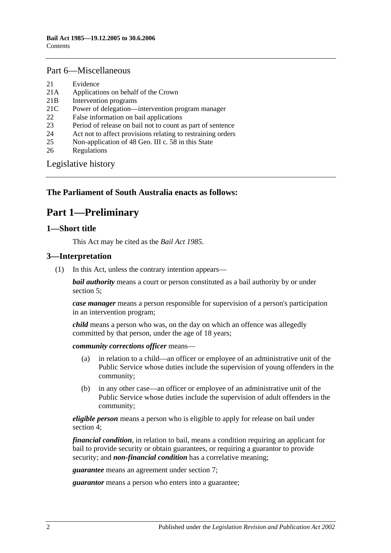#### [Part 6—Miscellaneous](#page-14-2)

- 21 [Evidence](#page-14-3)
- 21A [Applications on behalf of the Crown](#page-14-4)
- 21B [Intervention programs](#page-14-5)
- 21C [Power of delegation—intervention program manager](#page-16-0)
- 22 [False information on bail applications](#page-16-1)
- 23 Period of release [on bail not to count as part of sentence](#page-16-2)
- 24 [Act not to affect provisions relating to restraining orders](#page-16-3)
- 25 [Non-application of 48 Geo. III c. 58 in this State](#page-16-4)
- 26 [Regulations](#page-16-5)

[Legislative history](#page-17-0)

# <span id="page-1-0"></span>**The Parliament of South Australia enacts as follows:**

# **Part 1—Preliminary**

#### <span id="page-1-1"></span>**1—Short title**

This Act may be cited as the *Bail Act 1985*.

### <span id="page-1-2"></span>**3—Interpretation**

(1) In this Act, unless the contrary intention appears—

*bail authority* means a court or person constituted as a bail authority by or under [section](#page-3-0) 5;

*case manager* means a person responsible for supervision of a person's participation in an intervention program;

*child* means a person who was, on the day on which an offence was allegedly committed by that person, under the age of 18 years;

*community corrections officer* means—

- (a) in relation to a child—an officer or employee of an administrative unit of the Public Service whose duties include the supervision of young offenders in the community;
- (b) in any other case—an officer or employee of an administrative unit of the Public Service whose duties include the supervision of adult offenders in the community;

*eligible person* means a person who is eligible to apply for release on bail under [section](#page-2-0) 4;

*financial condition*, in relation to bail, means a condition requiring an applicant for bail to provide security or obtain guarantees, or requiring a guarantor to provide security; and *non-financial condition* has a correlative meaning;

*guarantee* means an agreement under [section](#page-5-0) 7;

*guarantor* means a person who enters into a guarantee;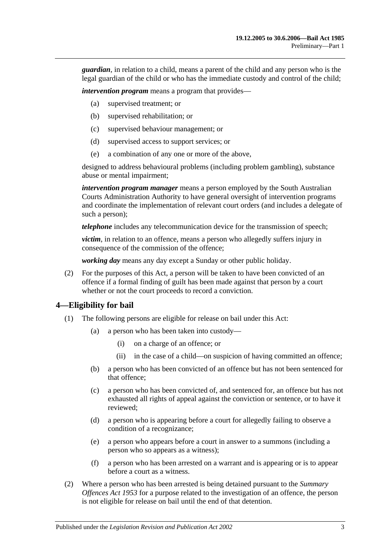*guardian*, in relation to a child, means a parent of the child and any person who is the legal guardian of the child or who has the immediate custody and control of the child;

*intervention program* means a program that provides—

- (a) supervised treatment; or
- (b) supervised rehabilitation; or
- (c) supervised behaviour management; or
- (d) supervised access to support services; or
- (e) a combination of any one or more of the above,

designed to address behavioural problems (including problem gambling), substance abuse or mental impairment;

*intervention program manager* means a person employed by the South Australian Courts Administration Authority to have general oversight of intervention programs and coordinate the implementation of relevant court orders (and includes a delegate of such a person);

*telephone* includes any telecommunication device for the transmission of speech;

*victim*, in relation to an offence, means a person who allegedly suffers injury in consequence of the commission of the offence;

*working day* means any day except a Sunday or other public holiday.

(2) For the purposes of this Act, a person will be taken to have been convicted of an offence if a formal finding of guilt has been made against that person by a court whether or not the court proceeds to record a conviction.

#### <span id="page-2-0"></span>**4—Eligibility for bail**

- (1) The following persons are eligible for release on bail under this Act:
	- (a) a person who has been taken into custody—
		- (i) on a charge of an offence; or
		- (ii) in the case of a child—on suspicion of having committed an offence;
	- (b) a person who has been convicted of an offence but has not been sentenced for that offence;
	- (c) a person who has been convicted of, and sentenced for, an offence but has not exhausted all rights of appeal against the conviction or sentence, or to have it reviewed;
	- (d) a person who is appearing before a court for allegedly failing to observe a condition of a recognizance;
	- (e) a person who appears before a court in answer to a summons (including a person who so appears as a witness);
	- (f) a person who has been arrested on a warrant and is appearing or is to appear before a court as a witness.
- (2) Where a person who has been arrested is being detained pursuant to the *[Summary](http://www.legislation.sa.gov.au/index.aspx?action=legref&type=act&legtitle=Summary%20Offences%20Act%201953)  [Offences Act](http://www.legislation.sa.gov.au/index.aspx?action=legref&type=act&legtitle=Summary%20Offences%20Act%201953) 1953* for a purpose related to the investigation of an offence, the person is not eligible for release on bail until the end of that detention.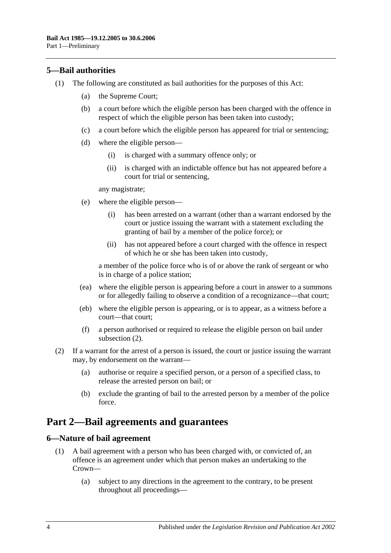# <span id="page-3-0"></span>**5—Bail authorities**

- (1) The following are constituted as bail authorities for the purposes of this Act:
	- (a) the Supreme Court;
	- (b) a court before which the eligible person has been charged with the offence in respect of which the eligible person has been taken into custody;
	- (c) a court before which the eligible person has appeared for trial or sentencing;
	- (d) where the eligible person—
		- (i) is charged with a summary offence only; or
		- (ii) is charged with an indictable offence but has not appeared before a court for trial or sentencing,

any magistrate;

- (e) where the eligible person—
	- (i) has been arrested on a warrant (other than a warrant endorsed by the court or justice issuing the warrant with a statement excluding the granting of bail by a member of the police force); or
	- (ii) has not appeared before a court charged with the offence in respect of which he or she has been taken into custody,

a member of the police force who is of or above the rank of sergeant or who is in charge of a police station;

- (ea) where the eligible person is appearing before a court in answer to a summons or for allegedly failing to observe a condition of a recognizance—that court;
- (eb) where the eligible person is appearing, or is to appear, as a witness before a court—that court;
- (f) a person authorised or required to release the eligible person on bail under [subsection](#page-3-3) (2).
- <span id="page-3-3"></span>(2) If a warrant for the arrest of a person is issued, the court or justice issuing the warrant may, by endorsement on the warrant—
	- (a) authorise or require a specified person, or a person of a specified class, to release the arrested person on bail; or
	- (b) exclude the granting of bail to the arrested person by a member of the police force.

# <span id="page-3-1"></span>**Part 2—Bail agreements and guarantees**

### <span id="page-3-4"></span><span id="page-3-2"></span>**6—Nature of bail agreement**

- (1) A bail agreement with a person who has been charged with, or convicted of, an offence is an agreement under which that person makes an undertaking to the Crown—
	- (a) subject to any directions in the agreement to the contrary, to be present throughout all proceedings—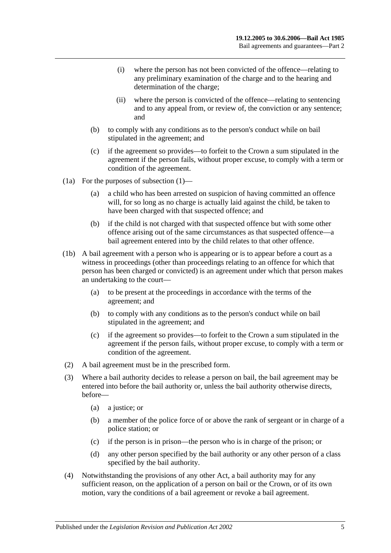- (i) where the person has not been convicted of the offence—relating to any preliminary examination of the charge and to the hearing and determination of the charge;
- (ii) where the person is convicted of the offence—relating to sentencing and to any appeal from, or review of, the conviction or any sentence; and
- (b) to comply with any conditions as to the person's conduct while on bail stipulated in the agreement; and
- (c) if the agreement so provides—to forfeit to the Crown a sum stipulated in the agreement if the person fails, without proper excuse, to comply with a term or condition of the agreement.
- (1a) For the purposes of [subsection](#page-3-4) (1)—
	- (a) a child who has been arrested on suspicion of having committed an offence will, for so long as no charge is actually laid against the child, be taken to have been charged with that suspected offence; and
	- (b) if the child is not charged with that suspected offence but with some other offence arising out of the same circumstances as that suspected offence—a bail agreement entered into by the child relates to that other offence.
- (1b) A bail agreement with a person who is appearing or is to appear before a court as a witness in proceedings (other than proceedings relating to an offence for which that person has been charged or convicted) is an agreement under which that person makes an undertaking to the court—
	- (a) to be present at the proceedings in accordance with the terms of the agreement; and
	- (b) to comply with any conditions as to the person's conduct while on bail stipulated in the agreement; and
	- (c) if the agreement so provides—to forfeit to the Crown a sum stipulated in the agreement if the person fails, without proper excuse, to comply with a term or condition of the agreement.
- (2) A bail agreement must be in the prescribed form.
- (3) Where a bail authority decides to release a person on bail, the bail agreement may be entered into before the bail authority or, unless the bail authority otherwise directs, before—
	- (a) a justice; or
	- (b) a member of the police force of or above the rank of sergeant or in charge of a police station; or
	- (c) if the person is in prison—the person who is in charge of the prison; or
	- (d) any other person specified by the bail authority or any other person of a class specified by the bail authority.
- (4) Notwithstanding the provisions of any other Act, a bail authority may for any sufficient reason, on the application of a person on bail or the Crown, or of its own motion, vary the conditions of a bail agreement or revoke a bail agreement.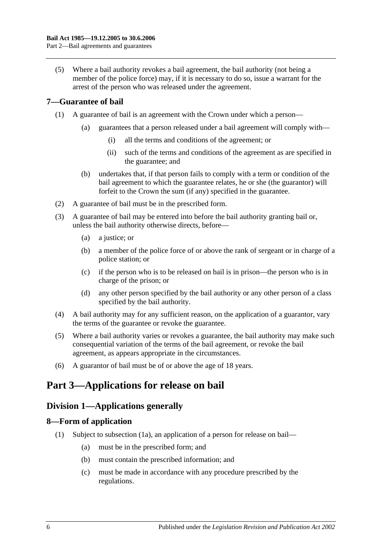(5) Where a bail authority revokes a bail agreement, the bail authority (not being a member of the police force) may, if it is necessary to do so, issue a warrant for the arrest of the person who was released under the agreement.

# <span id="page-5-0"></span>**7—Guarantee of bail**

- (1) A guarantee of bail is an agreement with the Crown under which a person—
	- (a) guarantees that a person released under a bail agreement will comply with—
		- (i) all the terms and conditions of the agreement; or
		- (ii) such of the terms and conditions of the agreement as are specified in the guarantee; and
	- (b) undertakes that, if that person fails to comply with a term or condition of the bail agreement to which the guarantee relates, he or she (the guarantor) will forfeit to the Crown the sum (if any) specified in the guarantee.
- (2) A guarantee of bail must be in the prescribed form.
- (3) A guarantee of bail may be entered into before the bail authority granting bail or, unless the bail authority otherwise directs, before—
	- (a) a justice; or
	- (b) a member of the police force of or above the rank of sergeant or in charge of a police station; or
	- (c) if the person who is to be released on bail is in prison—the person who is in charge of the prison; or
	- (d) any other person specified by the bail authority or any other person of a class specified by the bail authority.
- (4) A bail authority may for any sufficient reason, on the application of a guarantor, vary the terms of the guarantee or revoke the guarantee.
- (5) Where a bail authority varies or revokes a guarantee, the bail authority may make such consequential variation of the terms of the bail agreement, or revoke the bail agreement, as appears appropriate in the circumstances.
- (6) A guarantor of bail must be of or above the age of 18 years.

# <span id="page-5-2"></span><span id="page-5-1"></span>**Part 3—Applications for release on bail**

# **Division 1—Applications generally**

# <span id="page-5-4"></span><span id="page-5-3"></span>**8—Form of application**

- (1) Subject to [subsection](#page-6-2) (1a), an application of a person for release on bail—
	- (a) must be in the prescribed form; and
	- (b) must contain the prescribed information; and
	- (c) must be made in accordance with any procedure prescribed by the regulations.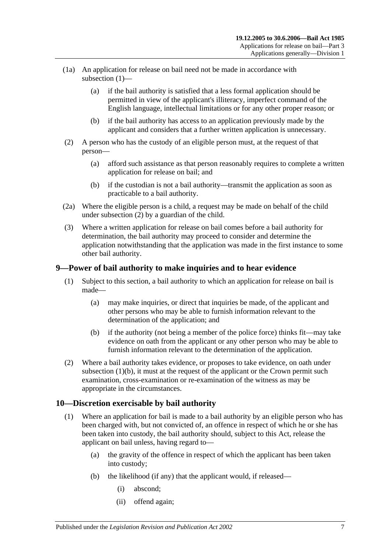- <span id="page-6-2"></span>(1a) An application for release on bail need not be made in accordance with [subsection](#page-5-4) (1)—
	- (a) if the bail authority is satisfied that a less formal application should be permitted in view of the applicant's illiteracy, imperfect command of the English language, intellectual limitations or for any other proper reason; or
	- (b) if the bail authority has access to an application previously made by the applicant and considers that a further written application is unnecessary.
- <span id="page-6-3"></span>(2) A person who has the custody of an eligible person must, at the request of that person—
	- (a) afford such assistance as that person reasonably requires to complete a written application for release on bail; and
	- (b) if the custodian is not a bail authority—transmit the application as soon as practicable to a bail authority.
- (2a) Where the eligible person is a child, a request may be made on behalf of the child under [subsection](#page-6-3) (2) by a guardian of the child.
- (3) Where a written application for release on bail comes before a bail authority for determination, the bail authority may proceed to consider and determine the application notwithstanding that the application was made in the first instance to some other bail authority.

# <span id="page-6-0"></span>**9—Power of bail authority to make inquiries and to hear evidence**

- (1) Subject to this section, a bail authority to which an application for release on bail is made—
	- (a) may make inquiries, or direct that inquiries be made, of the applicant and other persons who may be able to furnish information relevant to the determination of the application; and
	- (b) if the authority (not being a member of the police force) thinks fit—may take evidence on oath from the applicant or any other person who may be able to furnish information relevant to the determination of the application.
- <span id="page-6-4"></span>(2) Where a bail authority takes evidence, or proposes to take evidence, on oath under [subsection](#page-6-4)  $(1)(b)$ , it must at the request of the applicant or the Crown permit such examination, cross-examination or re-examination of the witness as may be appropriate in the circumstances.

# <span id="page-6-1"></span>**10—Discretion exercisable by bail authority**

- (1) Where an application for bail is made to a bail authority by an eligible person who has been charged with, but not convicted of, an offence in respect of which he or she has been taken into custody, the bail authority should, subject to this Act, release the applicant on bail unless, having regard to—
	- (a) the gravity of the offence in respect of which the applicant has been taken into custody;
	- (b) the likelihood (if any) that the applicant would, if released—
		- (i) abscond;
		- (ii) offend again;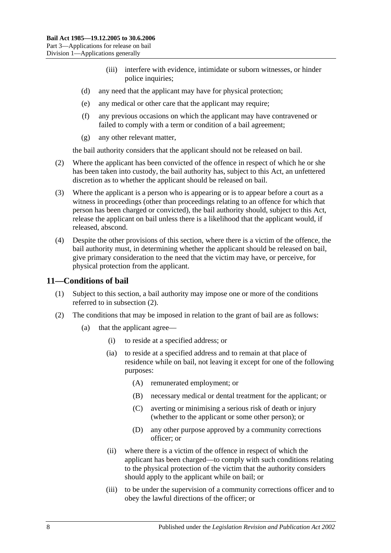- (iii) interfere with evidence, intimidate or suborn witnesses, or hinder police inquiries;
- (d) any need that the applicant may have for physical protection;
- (e) any medical or other care that the applicant may require;
- (f) any previous occasions on which the applicant may have contravened or failed to comply with a term or condition of a bail agreement;
- (g) any other relevant matter,

the bail authority considers that the applicant should not be released on bail.

- (2) Where the applicant has been convicted of the offence in respect of which he or she has been taken into custody, the bail authority has, subject to this Act, an unfettered discretion as to whether the applicant should be released on bail.
- (3) Where the applicant is a person who is appearing or is to appear before a court as a witness in proceedings (other than proceedings relating to an offence for which that person has been charged or convicted), the bail authority should, subject to this Act, release the applicant on bail unless there is a likelihood that the applicant would, if released, abscond.
- (4) Despite the other provisions of this section, where there is a victim of the offence, the bail authority must, in determining whether the applicant should be released on bail, give primary consideration to the need that the victim may have, or perceive, for physical protection from the applicant.

### <span id="page-7-0"></span>**11—Conditions of bail**

- (1) Subject to this section, a bail authority may impose one or more of the conditions referred to in [subsection](#page-7-1) (2).
- <span id="page-7-3"></span><span id="page-7-2"></span><span id="page-7-1"></span>(2) The conditions that may be imposed in relation to the grant of bail are as follows:
	- (a) that the applicant agree—
		- (i) to reside at a specified address; or
		- (ia) to reside at a specified address and to remain at that place of residence while on bail, not leaving it except for one of the following purposes:
			- (A) remunerated employment; or
			- (B) necessary medical or dental treatment for the applicant; or
			- (C) averting or minimising a serious risk of death or injury (whether to the applicant or some other person); or
			- (D) any other purpose approved by a community corrections officer; or
		- (ii) where there is a victim of the offence in respect of which the applicant has been charged—to comply with such conditions relating to the physical protection of the victim that the authority considers should apply to the applicant while on bail; or
		- (iii) to be under the supervision of a community corrections officer and to obey the lawful directions of the officer; or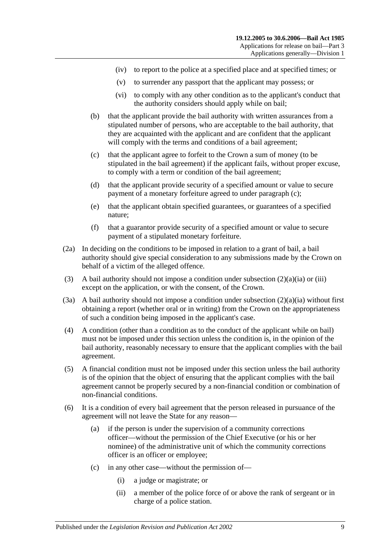- (iv) to report to the police at a specified place and at specified times; or
- (v) to surrender any passport that the applicant may possess; or
- (vi) to comply with any other condition as to the applicant's conduct that the authority considers should apply while on bail;
- (b) that the applicant provide the bail authority with written assurances from a stipulated number of persons, who are acceptable to the bail authority, that they are acquainted with the applicant and are confident that the applicant will comply with the terms and conditions of a bail agreement;
- <span id="page-8-0"></span>(c) that the applicant agree to forfeit to the Crown a sum of money (to be stipulated in the bail agreement) if the applicant fails, without proper excuse, to comply with a term or condition of the bail agreement;
- (d) that the applicant provide security of a specified amount or value to secure payment of a monetary forfeiture agreed to under [paragraph](#page-8-0) (c);
- (e) that the applicant obtain specified guarantees, or guarantees of a specified nature;
- (f) that a guarantor provide security of a specified amount or value to secure payment of a stipulated monetary forfeiture.
- (2a) In deciding on the conditions to be imposed in relation to a grant of bail, a bail authority should give special consideration to any submissions made by the Crown on behalf of a victim of the alleged offence.
- (3) A bail authority should not impose a condition under [subsection](#page-7-2)  $(2)(a)(ia)$  or [\(iii\)](#page-7-3) except on the application, or with the consent, of the Crown.
- (3a) A bail authority should not impose a condition under [subsection](#page-7-2)  $(2)(a)(ia)$  without first obtaining a report (whether oral or in writing) from the Crown on the appropriateness of such a condition being imposed in the applicant's case.
- (4) A condition (other than a condition as to the conduct of the applicant while on bail) must not be imposed under this section unless the condition is, in the opinion of the bail authority, reasonably necessary to ensure that the applicant complies with the bail agreement.
- (5) A financial condition must not be imposed under this section unless the bail authority is of the opinion that the object of ensuring that the applicant complies with the bail agreement cannot be properly secured by a non-financial condition or combination of non-financial conditions.
- (6) It is a condition of every bail agreement that the person released in pursuance of the agreement will not leave the State for any reason—
	- (a) if the person is under the supervision of a community corrections officer—without the permission of the Chief Executive (or his or her nominee) of the administrative unit of which the community corrections officer is an officer or employee;
	- (c) in any other case—without the permission of—
		- (i) a judge or magistrate; or
		- (ii) a member of the police force of or above the rank of sergeant or in charge of a police station.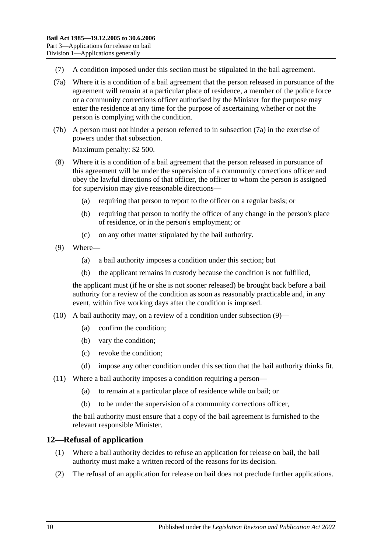- (7) A condition imposed under this section must be stipulated in the bail agreement.
- <span id="page-9-1"></span>(7a) Where it is a condition of a bail agreement that the person released in pursuance of the agreement will remain at a particular place of residence, a member of the police force or a community corrections officer authorised by the Minister for the purpose may enter the residence at any time for the purpose of ascertaining whether or not the person is complying with the condition.
- (7b) A person must not hinder a person referred to in [subsection](#page-9-1) (7a) in the exercise of powers under that subsection.

Maximum penalty: \$2 500.

- (8) Where it is a condition of a bail agreement that the person released in pursuance of this agreement will be under the supervision of a community corrections officer and obey the lawful directions of that officer, the officer to whom the person is assigned for supervision may give reasonable directions—
	- (a) requiring that person to report to the officer on a regular basis; or
	- (b) requiring that person to notify the officer of any change in the person's place of residence, or in the person's employment; or
	- (c) on any other matter stipulated by the bail authority.
- <span id="page-9-2"></span>(9) Where—
	- (a) a bail authority imposes a condition under this section; but
	- (b) the applicant remains in custody because the condition is not fulfilled,

the applicant must (if he or she is not sooner released) be brought back before a bail authority for a review of the condition as soon as reasonably practicable and, in any event, within five working days after the condition is imposed.

- (10) A bail authority may, on a review of a condition under [subsection](#page-9-2) (9)—
	- (a) confirm the condition;
	- (b) vary the condition;
	- (c) revoke the condition;
	- (d) impose any other condition under this section that the bail authority thinks fit.
- (11) Where a bail authority imposes a condition requiring a person—
	- (a) to remain at a particular place of residence while on bail; or
	- (b) to be under the supervision of a community corrections officer,

the bail authority must ensure that a copy of the bail agreement is furnished to the relevant responsible Minister.

# <span id="page-9-0"></span>**12—Refusal of application**

- (1) Where a bail authority decides to refuse an application for release on bail, the bail authority must make a written record of the reasons for its decision.
- (2) The refusal of an application for release on bail does not preclude further applications.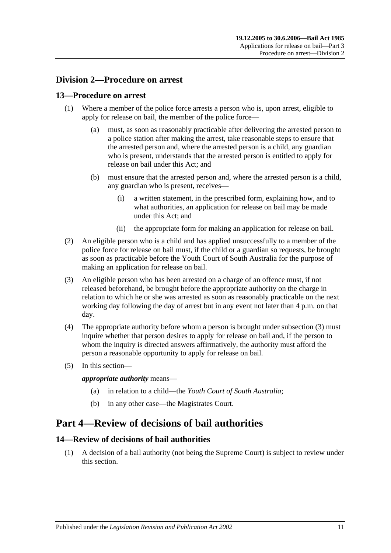# <span id="page-10-0"></span>**Division 2—Procedure on arrest**

### <span id="page-10-1"></span>**13—Procedure on arrest**

- (1) Where a member of the police force arrests a person who is, upon arrest, eligible to apply for release on bail, the member of the police force—
	- (a) must, as soon as reasonably practicable after delivering the arrested person to a police station after making the arrest, take reasonable steps to ensure that the arrested person and, where the arrested person is a child, any guardian who is present, understands that the arrested person is entitled to apply for release on bail under this Act; and
	- (b) must ensure that the arrested person and, where the arrested person is a child, any guardian who is present, receives—
		- (i) a written statement, in the prescribed form, explaining how, and to what authorities, an application for release on bail may be made under this Act; and
		- (ii) the appropriate form for making an application for release on bail.
- (2) An eligible person who is a child and has applied unsuccessfully to a member of the police force for release on bail must, if the child or a guardian so requests, be brought as soon as practicable before the Youth Court of South Australia for the purpose of making an application for release on bail.
- <span id="page-10-4"></span>(3) An eligible person who has been arrested on a charge of an offence must, if not released beforehand, be brought before the appropriate authority on the charge in relation to which he or she was arrested as soon as reasonably practicable on the next working day following the day of arrest but in any event not later than 4 p.m. on that day.
- (4) The appropriate authority before whom a person is brought under [subsection](#page-10-4) (3) must inquire whether that person desires to apply for release on bail and, if the person to whom the inquiry is directed answers affirmatively, the authority must afford the person a reasonable opportunity to apply for release on bail.
- (5) In this section—

*appropriate authority* means—

- (a) in relation to a child—the *Youth Court of South Australia*;
- (b) in any other case—the Magistrates Court.

# <span id="page-10-2"></span>**Part 4—Review of decisions of bail authorities**

# <span id="page-10-3"></span>**14—Review of decisions of bail authorities**

(1) A decision of a bail authority (not being the Supreme Court) is subject to review under this section.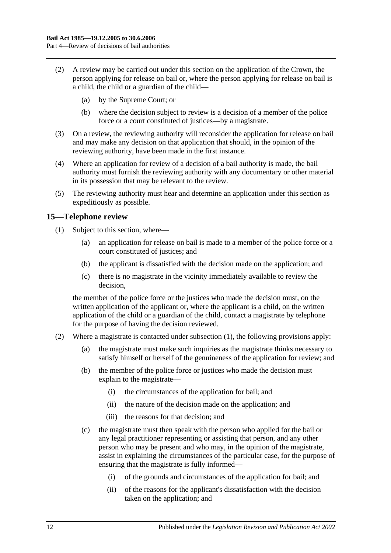- (2) A review may be carried out under this section on the application of the Crown, the person applying for release on bail or, where the person applying for release on bail is a child, the child or a guardian of the child—
	- (a) by the Supreme Court; or
	- (b) where the decision subject to review is a decision of a member of the police force or a court constituted of justices—by a magistrate.
- (3) On a review, the reviewing authority will reconsider the application for release on bail and may make any decision on that application that should, in the opinion of the reviewing authority, have been made in the first instance.
- (4) Where an application for review of a decision of a bail authority is made, the bail authority must furnish the reviewing authority with any documentary or other material in its possession that may be relevant to the review.
- (5) The reviewing authority must hear and determine an application under this section as expeditiously as possible.

### <span id="page-11-1"></span><span id="page-11-0"></span>**15—Telephone review**

- (1) Subject to this section, where—
	- (a) an application for release on bail is made to a member of the police force or a court constituted of justices; and
	- (b) the applicant is dissatisfied with the decision made on the application; and
	- (c) there is no magistrate in the vicinity immediately available to review the decision,

the member of the police force or the justices who made the decision must, on the written application of the applicant or, where the applicant is a child, on the written application of the child or a guardian of the child, contact a magistrate by telephone for the purpose of having the decision reviewed.

- (2) Where a magistrate is contacted under [subsection](#page-11-1) (1), the following provisions apply:
	- (a) the magistrate must make such inquiries as the magistrate thinks necessary to satisfy himself or herself of the genuineness of the application for review; and
	- (b) the member of the police force or justices who made the decision must explain to the magistrate—
		- (i) the circumstances of the application for bail; and
		- (ii) the nature of the decision made on the application; and
		- (iii) the reasons for that decision; and
	- (c) the magistrate must then speak with the person who applied for the bail or any legal practitioner representing or assisting that person, and any other person who may be present and who may, in the opinion of the magistrate, assist in explaining the circumstances of the particular case, for the purpose of ensuring that the magistrate is fully informed—
		- (i) of the grounds and circumstances of the application for bail; and
		- (ii) of the reasons for the applicant's dissatisfaction with the decision taken on the application; and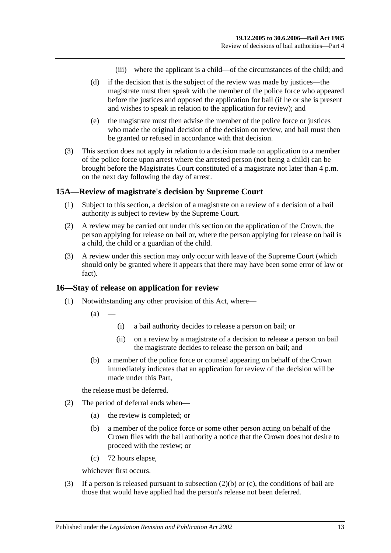- (iii) where the applicant is a child—of the circumstances of the child; and
- (d) if the decision that is the subject of the review was made by justices—the magistrate must then speak with the member of the police force who appeared before the justices and opposed the application for bail (if he or she is present and wishes to speak in relation to the application for review); and
- (e) the magistrate must then advise the member of the police force or justices who made the original decision of the decision on review, and bail must then be granted or refused in accordance with that decision.
- (3) This section does not apply in relation to a decision made on application to a member of the police force upon arrest where the arrested person (not being a child) can be brought before the Magistrates Court constituted of a magistrate not later than 4 p.m. on the next day following the day of arrest.

#### <span id="page-12-0"></span>**15A—Review of magistrate's decision by Supreme Court**

- (1) Subject to this section, a decision of a magistrate on a review of a decision of a bail authority is subject to review by the Supreme Court.
- (2) A review may be carried out under this section on the application of the Crown, the person applying for release on bail or, where the person applying for release on bail is a child, the child or a guardian of the child.
- (3) A review under this section may only occur with leave of the Supreme Court (which should only be granted where it appears that there may have been some error of law or fact).

#### <span id="page-12-1"></span>**16—Stay of release on application for review**

- (1) Notwithstanding any other provision of this Act, where—
	- $(a)$
- (i) a bail authority decides to release a person on bail; or
- (ii) on a review by a magistrate of a decision to release a person on bail the magistrate decides to release the person on bail; and
- (b) a member of the police force or counsel appearing on behalf of the Crown immediately indicates that an application for review of the decision will be made under this Part,

the release must be deferred.

- <span id="page-12-2"></span>(2) The period of deferral ends when—
	- (a) the review is completed; or
	- (b) a member of the police force or some other person acting on behalf of the Crown files with the bail authority a notice that the Crown does not desire to proceed with the review; or
	- (c) 72 hours elapse,

whichever first occurs.

<span id="page-12-3"></span>(3) If a person is released pursuant to [subsection](#page-12-2)  $(2)(b)$  or [\(c\),](#page-12-3) the conditions of bail are those that would have applied had the person's release not been deferred.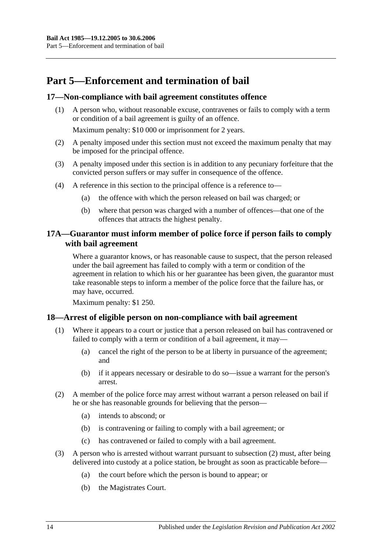# <span id="page-13-0"></span>**Part 5—Enforcement and termination of bail**

# <span id="page-13-1"></span>**17—Non-compliance with bail agreement constitutes offence**

(1) A person who, without reasonable excuse, contravenes or fails to comply with a term or condition of a bail agreement is guilty of an offence.

Maximum penalty: \$10 000 or imprisonment for 2 years.

- (2) A penalty imposed under this section must not exceed the maximum penalty that may be imposed for the principal offence.
- (3) A penalty imposed under this section is in addition to any pecuniary forfeiture that the convicted person suffers or may suffer in consequence of the offence.
- (4) A reference in this section to the principal offence is a reference to—
	- (a) the offence with which the person released on bail was charged; or
	- (b) where that person was charged with a number of offences—that one of the offences that attracts the highest penalty.

# <span id="page-13-2"></span>**17A—Guarantor must inform member of police force if person fails to comply with bail agreement**

Where a guarantor knows, or has reasonable cause to suspect, that the person released under the bail agreement has failed to comply with a term or condition of the agreement in relation to which his or her guarantee has been given, the guarantor must take reasonable steps to inform a member of the police force that the failure has, or may have, occurred.

Maximum penalty: \$1 250.

# <span id="page-13-3"></span>**18—Arrest of eligible person on non-compliance with bail agreement**

- (1) Where it appears to a court or justice that a person released on bail has contravened or failed to comply with a term or condition of a bail agreement, it may—
	- (a) cancel the right of the person to be at liberty in pursuance of the agreement; and
	- (b) if it appears necessary or desirable to do so—issue a warrant for the person's arrest.
- <span id="page-13-4"></span>(2) A member of the police force may arrest without warrant a person released on bail if he or she has reasonable grounds for believing that the person—
	- (a) intends to abscond; or
	- (b) is contravening or failing to comply with a bail agreement; or
	- (c) has contravened or failed to comply with a bail agreement.
- (3) A person who is arrested without warrant pursuant to [subsection](#page-13-4) (2) must, after being delivered into custody at a police station, be brought as soon as practicable before—
	- (a) the court before which the person is bound to appear; or
	- (b) the Magistrates Court.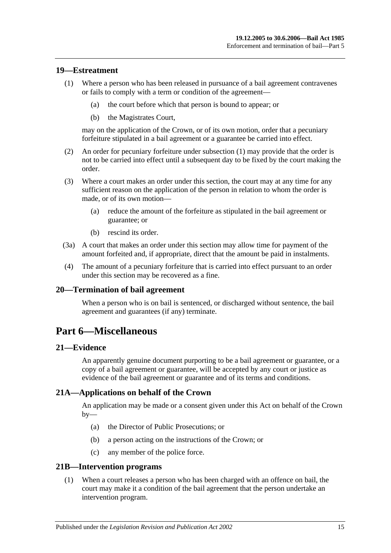### <span id="page-14-6"></span><span id="page-14-0"></span>**19—Estreatment**

- (1) Where a person who has been released in pursuance of a bail agreement contravenes or fails to comply with a term or condition of the agreement—
	- (a) the court before which that person is bound to appear; or
	- (b) the Magistrates Court,

may on the application of the Crown, or of its own motion, order that a pecuniary forfeiture stipulated in a bail agreement or a guarantee be carried into effect.

- (2) An order for pecuniary forfeiture under [subsection](#page-14-6) (1) may provide that the order is not to be carried into effect until a subsequent day to be fixed by the court making the order.
- (3) Where a court makes an order under this section, the court may at any time for any sufficient reason on the application of the person in relation to whom the order is made, or of its own motion—
	- (a) reduce the amount of the forfeiture as stipulated in the bail agreement or guarantee; or
	- (b) rescind its order.
- (3a) A court that makes an order under this section may allow time for payment of the amount forfeited and, if appropriate, direct that the amount be paid in instalments.
- (4) The amount of a pecuniary forfeiture that is carried into effect pursuant to an order under this section may be recovered as a fine.

#### <span id="page-14-1"></span>**20—Termination of bail agreement**

When a person who is on bail is sentenced, or discharged without sentence, the bail agreement and guarantees (if any) terminate.

# <span id="page-14-2"></span>**Part 6—Miscellaneous**

#### <span id="page-14-3"></span>**21—Evidence**

An apparently genuine document purporting to be a bail agreement or guarantee, or a copy of a bail agreement or guarantee, will be accepted by any court or justice as evidence of the bail agreement or guarantee and of its terms and conditions.

#### <span id="page-14-4"></span>**21A—Applications on behalf of the Crown**

An application may be made or a consent given under this Act on behalf of the Crown  $by-$ 

- (a) the Director of Public Prosecutions; or
- (b) a person acting on the instructions of the Crown; or
- (c) any member of the police force.

#### <span id="page-14-5"></span>**21B—Intervention programs**

(1) When a court releases a person who has been charged with an offence on bail, the court may make it a condition of the bail agreement that the person undertake an intervention program.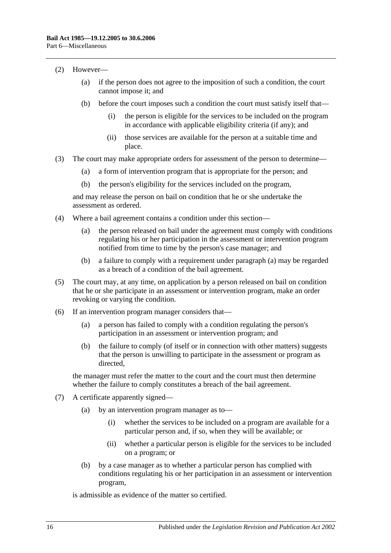- (2) However—
	- (a) if the person does not agree to the imposition of such a condition, the court cannot impose it; and
	- (b) before the court imposes such a condition the court must satisfy itself that—
		- (i) the person is eligible for the services to be included on the program in accordance with applicable eligibility criteria (if any); and
		- (ii) those services are available for the person at a suitable time and place.
- (3) The court may make appropriate orders for assessment of the person to determine—
	- (a) a form of intervention program that is appropriate for the person; and
	- (b) the person's eligibility for the services included on the program,

and may release the person on bail on condition that he or she undertake the assessment as ordered.

- <span id="page-15-0"></span>(4) Where a bail agreement contains a condition under this section—
	- (a) the person released on bail under the agreement must comply with conditions regulating his or her participation in the assessment or intervention program notified from time to time by the person's case manager; and
	- (b) a failure to comply with a requirement under [paragraph](#page-15-0) (a) may be regarded as a breach of a condition of the bail agreement.
- (5) The court may, at any time, on application by a person released on bail on condition that he or she participate in an assessment or intervention program, make an order revoking or varying the condition.
- (6) If an intervention program manager considers that—
	- (a) a person has failed to comply with a condition regulating the person's participation in an assessment or intervention program; and
	- (b) the failure to comply (of itself or in connection with other matters) suggests that the person is unwilling to participate in the assessment or program as directed,

the manager must refer the matter to the court and the court must then determine whether the failure to comply constitutes a breach of the bail agreement.

- (7) A certificate apparently signed—
	- (a) by an intervention program manager as to—
		- (i) whether the services to be included on a program are available for a particular person and, if so, when they will be available; or
		- (ii) whether a particular person is eligible for the services to be included on a program; or
	- (b) by a case manager as to whether a particular person has complied with conditions regulating his or her participation in an assessment or intervention program,

is admissible as evidence of the matter so certified.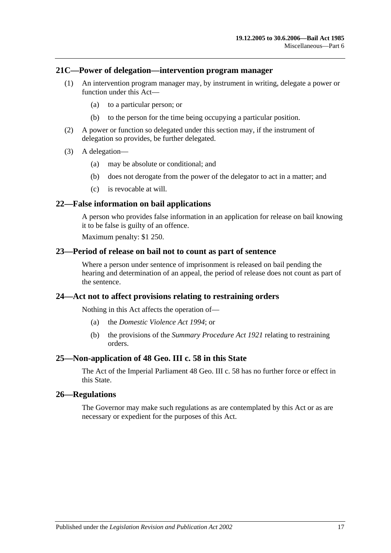#### <span id="page-16-0"></span>**21C—Power of delegation—intervention program manager**

- (1) An intervention program manager may, by instrument in writing, delegate a power or function under this Act—
	- (a) to a particular person; or
	- (b) to the person for the time being occupying a particular position.
- (2) A power or function so delegated under this section may, if the instrument of delegation so provides, be further delegated.
- (3) A delegation—
	- (a) may be absolute or conditional; and
	- (b) does not derogate from the power of the delegator to act in a matter; and
	- (c) is revocable at will.

# <span id="page-16-1"></span>**22—False information on bail applications**

A person who provides false information in an application for release on bail knowing it to be false is guilty of an offence.

Maximum penalty: \$1 250.

# <span id="page-16-2"></span>**23—Period of release on bail not to count as part of sentence**

Where a person under sentence of imprisonment is released on bail pending the hearing and determination of an appeal, the period of release does not count as part of the sentence.

#### <span id="page-16-3"></span>**24—Act not to affect provisions relating to restraining orders**

Nothing in this Act affects the operation of—

- (a) the *[Domestic Violence Act](http://www.legislation.sa.gov.au/index.aspx?action=legref&type=act&legtitle=Domestic%20Violence%20Act%201994) 1994*; or
- (b) the provisions of the *[Summary Procedure Act](http://www.legislation.sa.gov.au/index.aspx?action=legref&type=act&legtitle=Summary%20Procedure%20Act%201921) 1921* relating to restraining orders.

#### <span id="page-16-4"></span>**25—Non-application of 48 Geo. III c. 58 in this State**

The Act of the Imperial Parliament 48 Geo. III c. 58 has no further force or effect in this State.

#### <span id="page-16-5"></span>**26—Regulations**

The Governor may make such regulations as are contemplated by this Act or as are necessary or expedient for the purposes of this Act.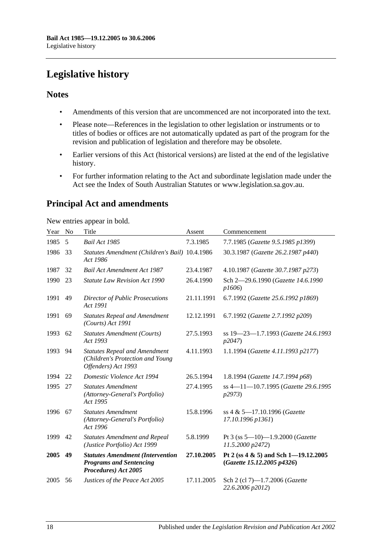# <span id="page-17-0"></span>**Legislative history**

# **Notes**

- Amendments of this version that are uncommenced are not incorporated into the text.
- Please note—References in the legislation to other legislation or instruments or to titles of bodies or offices are not automatically updated as part of the program for the revision and publication of legislation and therefore may be obsolete.
- Earlier versions of this Act (historical versions) are listed at the end of the legislative history.
- For further information relating to the Act and subordinate legislation made under the Act see the Index of South Australian Statutes or www.legislation.sa.gov.au.

# **Principal Act and amendments**

New entries appear in bold.

| Year | N <sub>0</sub> | Title                                                                                             | Assent     | Commencement                                                       |
|------|----------------|---------------------------------------------------------------------------------------------------|------------|--------------------------------------------------------------------|
| 1985 | 5              | <b>Bail Act 1985</b>                                                                              | 7.3.1985   | 7.7.1985 (Gazette 9.5.1985 p1399)                                  |
| 1986 | 33             | Statutes Amendment (Children's Bail) 10.4.1986<br>Act 1986                                        |            | 30.3.1987 (Gazette 26.2.1987 p440)                                 |
| 1987 | 32             | <b>Bail Act Amendment Act 1987</b>                                                                | 23.4.1987  | 4.10.1987 (Gazette 30.7.1987 p273)                                 |
| 1990 | 23             | <b>Statute Law Revision Act 1990</b>                                                              | 26.4.1990  | Sch 2-29.6.1990 (Gazette 14.6.1990<br>p1606                        |
| 1991 | 49             | <b>Director of Public Prosecutions</b><br>Act 1991                                                | 21.11.1991 | 6.7.1992 (Gazette 25.6.1992 p1869)                                 |
| 1991 | 69             | <b>Statutes Repeal and Amendment</b><br>(Courts) Act 1991                                         | 12.12.1991 | 6.7.1992 (Gazette 2.7.1992 p209)                                   |
| 1993 | 62             | <b>Statutes Amendment (Courts)</b><br>Act 1993                                                    | 27.5.1993  | ss 19-23-1.7.1993 (Gazette 24.6.1993<br>p2047)                     |
| 1993 | 94             | <b>Statutes Repeal and Amendment</b><br>(Children's Protection and Young<br>Offenders) Act 1993   | 4.11.1993  | 1.1.1994 (Gazette 4.11.1993 p2177)                                 |
| 1994 | 22             | Domestic Violence Act 1994                                                                        | 26.5.1994  | 1.8.1994 (Gazette 14.7.1994 p68)                                   |
| 1995 | 27             | <b>Statutes Amendment</b><br>(Attorney-General's Portfolio)<br>Act 1995                           | 27.4.1995  | ss 4-11-10.7.1995 (Gazette 29.6.1995<br>p2973)                     |
| 1996 | 67             | <b>Statutes Amendment</b><br>(Attorney-General's Portfolio)<br>Act 1996                           | 15.8.1996  | ss 4 & 5-17.10.1996 (Gazette<br>17.10.1996 p1361)                  |
| 1999 | 42             | <b>Statutes Amendment and Repeal</b><br>(Justice Portfolio) Act 1999                              | 5.8.1999   | Pt 3 (ss $5 - 10$ ) -1.9.2000 (Gazette<br>11.5.2000 p2472)         |
| 2005 | 49             | <b>Statutes Amendment (Intervention</b><br><b>Programs and Sentencing</b><br>Procedures) Act 2005 | 27.10.2005 | Pt 2 (ss 4 & 5) and Sch 1-19.12.2005<br>(Gazette 15.12.2005 p4326) |
| 2005 | 56             | Justices of the Peace Act 2005                                                                    | 17.11.2005 | Sch 2 (cl 7)-1.7.2006 (Gazette<br>22.6.2006 p2012)                 |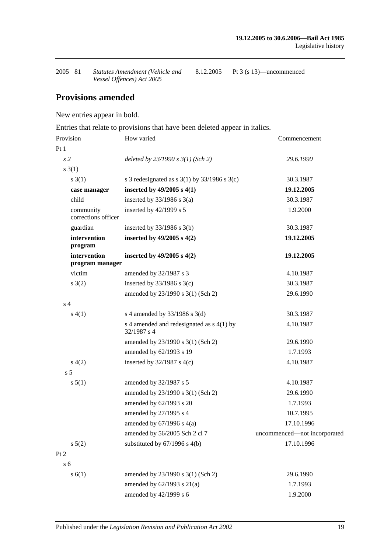| 2005 81 | Statutes Amendment (Vehicle and | 8.12.2005 | Pt 3 (s 13)—uncommenced |
|---------|---------------------------------|-----------|-------------------------|
|         | Vessel Offences) Act 2005       |           |                         |

# **Provisions amended**

New entries appear in bold.

Entries that relate to provisions that have been deleted appear in italics.

| Provision                        | How varied                                                 | Commencement                 |
|----------------------------------|------------------------------------------------------------|------------------------------|
| Pt1                              |                                                            |                              |
| s <sub>2</sub>                   | deleted by $23/1990 s 3(1)$ (Sch 2)                        | 29.6.1990                    |
| $s \; 3(1)$                      |                                                            |                              |
| s(3(1))                          | s 3 redesignated as s $3(1)$ by $33/1986$ s $3(c)$         | 30.3.1987                    |
| case manager                     | inserted by $49/2005$ s $4(1)$                             | 19.12.2005                   |
| child                            | inserted by $33/1986$ s $3(a)$                             | 30.3.1987                    |
| community<br>corrections officer | inserted by 42/1999 s 5                                    | 1.9.2000                     |
| guardian                         | inserted by $33/1986$ s $3(b)$                             | 30.3.1987                    |
| intervention<br>program          | inserted by $49/2005$ s $4(2)$                             | 19.12.2005                   |
| intervention<br>program manager  | inserted by $49/2005$ s $4(2)$                             | 19.12.2005                   |
| victim                           | amended by 32/1987 s 3                                     | 4.10.1987                    |
| s(2)                             | inserted by $33/1986$ s $3(c)$                             | 30.3.1987                    |
|                                  | amended by 23/1990 s 3(1) (Sch 2)                          | 29.6.1990                    |
| s <sub>4</sub>                   |                                                            |                              |
| s(4(1))                          | s 4 amended by 33/1986 s 3(d)                              | 30.3.1987                    |
|                                  | s 4 amended and redesignated as $s$ 4(1) by<br>32/1987 s 4 | 4.10.1987                    |
|                                  | amended by 23/1990 s 3(1) (Sch 2)                          | 29.6.1990                    |
|                                  | amended by 62/1993 s 19                                    | 1.7.1993                     |
| s(4(2)                           | inserted by $32/1987$ s 4(c)                               | 4.10.1987                    |
| s <sub>5</sub>                   |                                                            |                              |
| s 5(1)                           | amended by 32/1987 s 5                                     | 4.10.1987                    |
|                                  | amended by 23/1990 s 3(1) (Sch 2)                          | 29.6.1990                    |
|                                  | amended by 62/1993 s 20                                    | 1.7.1993                     |
|                                  | amended by 27/1995 s 4                                     | 10.7.1995                    |
|                                  | amended by $67/1996$ s $4(a)$                              | 17.10.1996                   |
|                                  | amended by 56/2005 Sch 2 cl 7                              | uncommenced-not incorporated |
| $s\ 5(2)$                        | substituted by $67/1996$ s $4(b)$                          | 17.10.1996                   |
| Pt 2                             |                                                            |                              |
| s <sub>6</sub>                   |                                                            |                              |
| s(6(1))                          | amended by 23/1990 s 3(1) (Sch 2)                          | 29.6.1990                    |
|                                  | amended by $62/1993$ s $21(a)$                             | 1.7.1993                     |
|                                  | amended by 42/1999 s 6                                     | 1.9.2000                     |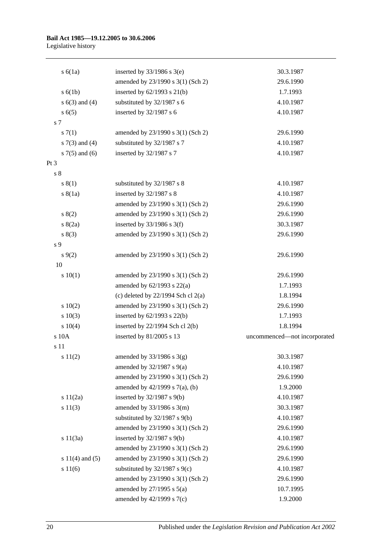# **Bail Act 1985—19.12.2005 to 30.6.2006**

Legislative history

| s(6(1a))            | inserted by $33/1986$ s 3(e)           | 30.3.1987                    |
|---------------------|----------------------------------------|------------------------------|
|                     | amended by 23/1990 s 3(1) (Sch 2)      | 29.6.1990                    |
| s(6(1b))            | inserted by $62/1993$ s $21(b)$        | 1.7.1993                     |
| s $6(3)$ and $(4)$  | substituted by 32/1987 s 6             | 4.10.1987                    |
| s(6(5)              | inserted by 32/1987 s 6                | 4.10.1987                    |
| s 7                 |                                        |                              |
| s(7(1)              | amended by 23/1990 s 3(1) (Sch 2)      | 29.6.1990                    |
| s $7(3)$ and $(4)$  | substituted by 32/1987 s 7             | 4.10.1987                    |
| s $7(5)$ and $(6)$  | inserted by 32/1987 s 7                | 4.10.1987                    |
| Pt 3                |                                        |                              |
| s <sub>8</sub>      |                                        |                              |
| s(1)                | substituted by 32/1987 s 8             | 4.10.1987                    |
| s(8(1a))            | inserted by 32/1987 s 8                | 4.10.1987                    |
|                     | amended by 23/1990 s 3(1) (Sch 2)      | 29.6.1990                    |
| s(2)                | amended by 23/1990 s 3(1) (Sch 2)      | 29.6.1990                    |
| s(2a)               | inserted by $33/1986$ s 3(f)           | 30.3.1987                    |
| s(3)                | amended by 23/1990 s 3(1) (Sch 2)      | 29.6.1990                    |
| s 9                 |                                        |                              |
| $s \, 9(2)$         | amended by 23/1990 s 3(1) (Sch 2)      | 29.6.1990                    |
| 10                  |                                        |                              |
| 10(1)               | amended by 23/1990 s 3(1) (Sch 2)      | 29.6.1990                    |
|                     | amended by $62/1993$ s $22(a)$         | 1.7.1993                     |
|                     | (c) deleted by $22/1994$ Sch cl $2(a)$ | 1.8.1994                     |
| 10(2)               | amended by 23/1990 s 3(1) (Sch 2)      | 29.6.1990                    |
| 10(3)               | inserted by $62/1993$ s $22(b)$        | 1.7.1993                     |
| 10(4)               | inserted by $22/1994$ Sch cl $2(b)$    | 1.8.1994                     |
| s 10A               | inserted by 81/2005 s 13               | uncommenced-not incorporated |
| s 11                |                                        |                              |
| s 11(2)             | amended by $33/1986$ s $3(g)$          | 30.3.1987                    |
|                     | amended by $32/1987$ s $9(a)$          | 4.10.1987                    |
|                     | amended by 23/1990 s 3(1) (Sch 2)      | 29.6.1990                    |
|                     | amended by 42/1999 s 7(a), (b)         | 1.9.2000                     |
| s 11(2a)            | inserted by $32/1987$ s $9(b)$         | 4.10.1987                    |
| s 11(3)             | amended by $33/1986$ s $3(m)$          | 30.3.1987                    |
|                     | substituted by $32/1987$ s $9(b)$      | 4.10.1987                    |
|                     | amended by 23/1990 s 3(1) (Sch 2)      | 29.6.1990                    |
| s 11(3a)            | inserted by $32/1987$ s $9(b)$         | 4.10.1987                    |
|                     | amended by 23/1990 s 3(1) (Sch 2)      | 29.6.1990                    |
| s $11(4)$ and $(5)$ | amended by 23/1990 s 3(1) (Sch 2)      | 29.6.1990                    |
| s 11(6)             | substituted by 32/1987 s 9(c)          | 4.10.1987                    |
|                     | amended by 23/1990 s 3(1) (Sch 2)      | 29.6.1990                    |
|                     | amended by $27/1995$ s $5(a)$          | 10.7.1995                    |
|                     | amended by $42/1999$ s $7(c)$          | 1.9.2000                     |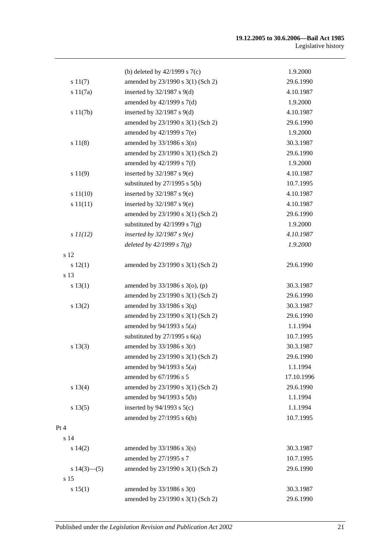|                   | (b) deleted by $42/1999$ s $7(c)$   | 1.9.2000   |
|-------------------|-------------------------------------|------------|
| s 11(7)           | amended by 23/1990 s 3(1) (Sch 2)   | 29.6.1990  |
| s 11(7a)          | inserted by $32/1987$ s $9(d)$      | 4.10.1987  |
|                   | amended by $42/1999$ s $7(d)$       | 1.9.2000   |
| s 11(7b)          | inserted by $32/1987$ s $9(d)$      | 4.10.1987  |
|                   | amended by 23/1990 s 3(1) (Sch 2)   | 29.6.1990  |
|                   | amended by 42/1999 s 7(e)           | 1.9.2000   |
| s 11(8)           | amended by $33/1986$ s $3(n)$       | 30.3.1987  |
|                   | amended by 23/1990 s 3(1) (Sch 2)   | 29.6.1990  |
|                   | amended by $42/1999$ s $7(f)$       | 1.9.2000   |
| s 11(9)           | inserted by $32/1987$ s $9(e)$      | 4.10.1987  |
|                   | substituted by $27/1995$ s $5(b)$   | 10.7.1995  |
| s 11(10)          | inserted by $32/1987$ s $9(e)$      | 4.10.1987  |
| s 11(11)          | inserted by $32/1987$ s $9(e)$      | 4.10.1987  |
|                   | amended by 23/1990 s 3(1) (Sch 2)   | 29.6.1990  |
|                   | substituted by $42/1999$ s $7(g)$   | 1.9.2000   |
| $s$ $11(12)$      | inserted by $32/1987 s$ 9(e)        | 4.10.1987  |
|                   | deleted by $42/1999 s 7(g)$         | 1.9.2000   |
| s 12              |                                     |            |
| s 12(1)           | amended by 23/1990 s 3(1) (Sch 2)   | 29.6.1990  |
| s 13              |                                     |            |
| s 13(1)           | amended by $33/1986$ s $3$ (o), (p) | 30.3.1987  |
|                   | amended by 23/1990 s 3(1) (Sch 2)   | 29.6.1990  |
| s 13(2)           | amended by $33/1986$ s $3(q)$       | 30.3.1987  |
|                   | amended by 23/1990 s 3(1) (Sch 2)   | 29.6.1990  |
|                   | amended by $94/1993$ s $5(a)$       | 1.1.1994   |
|                   | substituted by $27/1995$ s $6(a)$   | 10.7.1995  |
| s 13(3)           | amended by $33/1986$ s $3(r)$       | 30.3.1987  |
|                   | amended by 23/1990 s 3(1) (Sch 2)   | 29.6.1990  |
|                   | amended by $94/1993$ s $5(a)$       | 1.1.1994   |
|                   | amended by 67/1996 s 5              | 17.10.1996 |
| s 13(4)           | amended by 23/1990 s 3(1) (Sch 2)   | 29.6.1990  |
|                   | amended by 94/1993 s 5(b)           | 1.1.1994   |
| s 13(5)           | inserted by $94/1993$ s $5(c)$      | 1.1.1994   |
|                   | amended by 27/1995 s 6(b)           | 10.7.1995  |
| Pt 4              |                                     |            |
| s 14              |                                     |            |
| s 14(2)           | amended by $33/1986$ s $3(s)$       | 30.3.1987  |
|                   | amended by 27/1995 s 7              | 10.7.1995  |
| s $14(3)$ — $(5)$ | amended by 23/1990 s 3(1) (Sch 2)   | 29.6.1990  |
| s 15              |                                     |            |
| s 15(1)           | amended by $33/1986$ s 3(t)         | 30.3.1987  |
|                   | amended by 23/1990 s 3(1) (Sch 2)   | 29.6.1990  |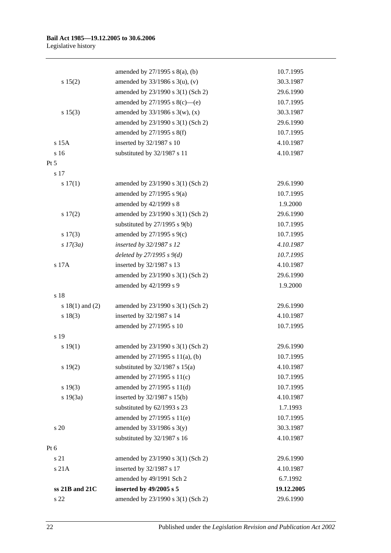| s 22                | amended by 23/1990 s 3(1) (Sch 2)   | 29.6.1990  |
|---------------------|-------------------------------------|------------|
| ss 21B and 21C      | inserted by 49/2005 s 5             | 19.12.2005 |
|                     | amended by 49/1991 Sch 2            | 6.7.1992   |
| s 21A               | inserted by 32/1987 s 17            | 4.10.1987  |
| s 21                | amended by 23/1990 s 3(1) (Sch 2)   | 29.6.1990  |
| Pt 6                |                                     |            |
|                     | substituted by 32/1987 s 16         | 4.10.1987  |
| s 20                | amended by $33/1986$ s $3(y)$       | 30.3.1987  |
|                     | amended by 27/1995 s 11(e)          | 10.7.1995  |
|                     | substituted by 62/1993 s 23         | 1.7.1993   |
| s 19(3a)            | inserted by 32/1987 s 15(b)         | 4.10.1987  |
| s 19(3)             | amended by 27/1995 s 11(d)          | 10.7.1995  |
|                     | amended by 27/1995 s 11(c)          | 10.7.1995  |
| s 19(2)             | substituted by $32/1987$ s $15(a)$  | 4.10.1987  |
|                     | amended by 27/1995 s 11(a), (b)     | 10.7.1995  |
| s 19(1)             | amended by 23/1990 s 3(1) (Sch 2)   | 29.6.1990  |
| s 19                |                                     |            |
|                     | amended by 27/1995 s 10             | 10.7.1995  |
| s 18(3)             | inserted by 32/1987 s 14            | 4.10.1987  |
| s $18(1)$ and $(2)$ | amended by 23/1990 s 3(1) (Sch 2)   | 29.6.1990  |
| s 18                |                                     |            |
|                     | amended by 42/1999 s 9              | 1.9.2000   |
|                     | amended by 23/1990 s 3(1) (Sch 2)   | 29.6.1990  |
| s 17A               | inserted by 32/1987 s 13            | 4.10.1987  |
|                     | deleted by $27/1995 s 9(d)$         | 10.7.1995  |
| $s$ 17(3a)          | inserted by 32/1987 s 12            | 4.10.1987  |
| $s\ 17(3)$          | amended by $27/1995$ s $9(c)$       | 10.7.1995  |
|                     | substituted by 27/1995 s 9(b)       | 10.7.1995  |
| s 17(2)             | amended by 23/1990 s 3(1) (Sch 2)   | 29.6.1990  |
|                     | amended by 42/1999 s 8              | 1.9.2000   |
|                     | amended by $27/1995$ s $9(a)$       | 10.7.1995  |
| s 17(1)             | amended by 23/1990 s 3(1) (Sch 2)   | 29.6.1990  |
| s 17                |                                     |            |
| Pt 5                |                                     |            |
| s <sub>16</sub>     | substituted by 32/1987 s 11         | 4.10.1987  |
| s 15A               | inserted by 32/1987 s 10            | 4.10.1987  |
|                     | amended by 27/1995 s 8(f)           | 10.7.1995  |
|                     | amended by 23/1990 s 3(1) (Sch 2)   | 29.6.1990  |
| s 15(3)             | amended by $33/1986$ s 3(w), (x)    | 30.3.1987  |
|                     | amended by $27/1995$ s $8(c)$ —(e)  | 10.7.1995  |
|                     | amended by 23/1990 s 3(1) (Sch 2)   | 29.6.1990  |
| s 15(2)             | amended by $33/1986$ s $3(u)$ , (v) | 30.3.1987  |
|                     | amended by $27/1995$ s $8(a)$ , (b) | 10.7.1995  |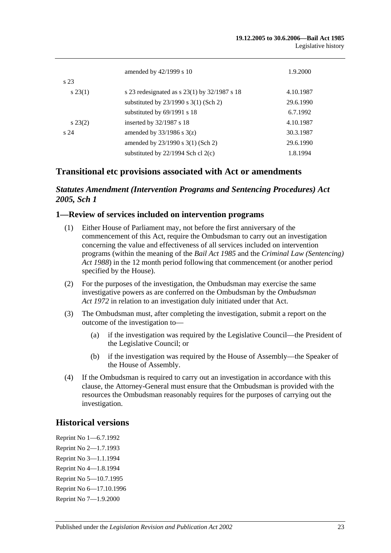|                 | amended by 42/1999 s 10                          | 1.9.2000  |
|-----------------|--------------------------------------------------|-----------|
| s 23            |                                                  |           |
| $s\,23(1)$      | s 23 redesignated as s $23(1)$ by $32/1987$ s 18 | 4.10.1987 |
|                 | substituted by $23/1990$ s $3(1)$ (Sch 2)        | 29.6.1990 |
|                 | substituted by $69/1991$ s 18                    | 6.7.1992  |
| $s\,23(2)$      | inserted by 32/1987 s 18                         | 4.10.1987 |
| s <sub>24</sub> | amended by $33/1986$ s $3(z)$                    | 30.3.1987 |
|                 | amended by 23/1990 s 3(1) (Sch 2)                | 29.6.1990 |
|                 | substituted by $22/1994$ Sch cl $2(c)$           | 1.8.1994  |

# **Transitional etc provisions associated with Act or amendments**

### *Statutes Amendment (Intervention Programs and Sentencing Procedures) Act 2005, Sch 1*

#### **1—Review of services included on intervention programs**

- (1) Either House of Parliament may, not before the first anniversary of the commencement of this Act, require the Ombudsman to carry out an investigation concerning the value and effectiveness of all services included on intervention programs (within the meaning of the *[Bail Act](http://www.legislation.sa.gov.au/index.aspx?action=legref&type=act&legtitle=Bail%20Act%201985) 1985* and the *[Criminal Law \(Sentencing\)](http://www.legislation.sa.gov.au/index.aspx?action=legref&type=act&legtitle=Criminal%20Law%20(Sentencing)%20Act%201988)  Act [1988](http://www.legislation.sa.gov.au/index.aspx?action=legref&type=act&legtitle=Criminal%20Law%20(Sentencing)%20Act%201988)*) in the 12 month period following that commencement (or another period specified by the House).
- (2) For the purposes of the investigation, the Ombudsman may exercise the same investigative powers as are conferred on the Ombudsman by the *[Ombudsman](http://www.legislation.sa.gov.au/index.aspx?action=legref&type=act&legtitle=Ombudsman%20Act%201972)  Act [1972](http://www.legislation.sa.gov.au/index.aspx?action=legref&type=act&legtitle=Ombudsman%20Act%201972)* in relation to an investigation duly initiated under that Act.
- (3) The Ombudsman must, after completing the investigation, submit a report on the outcome of the investigation to—
	- (a) if the investigation was required by the Legislative Council—the President of the Legislative Council; or
	- (b) if the investigation was required by the House of Assembly—the Speaker of the House of Assembly.
- (4) If the Ombudsman is required to carry out an investigation in accordance with this clause, the Attorney-General must ensure that the Ombudsman is provided with the resources the Ombudsman reasonably requires for the purposes of carrying out the investigation.

#### **Historical versions**

Reprint No 1—6.7.1992 Reprint No 2—1.7.1993 Reprint No 3—1.1.1994 Reprint No 4—1.8.1994 Reprint No 5—10.7.1995 Reprint No 6—17.10.1996 Reprint No 7—1.9.2000